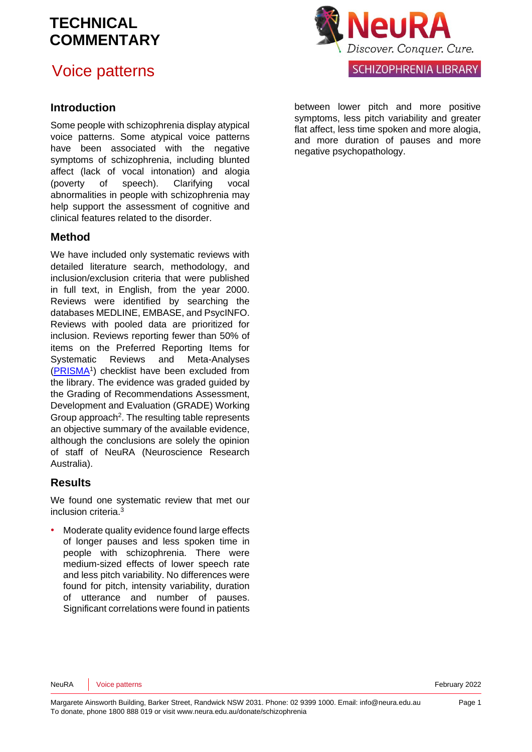# Voice patterns



### **Introduction**

Some people with schizophrenia display atypical voice patterns. Some atypical voice patterns have been associated with the negative symptoms of schizophrenia, including blunted affect (lack of vocal intonation) and alogia (poverty of speech). Clarifying vocal abnormalities in people with schizophrenia may help support the assessment of cognitive and clinical features related to the disorder.

### **Method**

We have included only systematic reviews with detailed literature search, methodology, and inclusion/exclusion criteria that were published in full text, in English, from the year 2000. Reviews were identified by searching the databases MEDLINE, EMBASE, and PsycINFO. Reviews with pooled data are prioritized for inclusion. Reviews reporting fewer than 50% of items on the Preferred Reporting Items for Systematic Reviews and Meta-Analyses [\(PRISMA](http://www.prisma-statement.org/)<sup>1</sup>[\)](#page-5-0) checklist have been excluded from the library. The evidence was graded guided by the Grading of Recommendations Assessment, Development and Evaluation [\(GRADE\)](http://www.gradeworkinggroup.org/) Working Group approach<sup>[2](#page-5-1)</sup>. The resulting table represents an objective summary of the available evidence, although the conclusions are solely the opinion of staff of NeuRA (Neuroscience Research Australia).

### **Results**

We found one systematic review that met our inclusion criteria. [3](#page-5-2)

• Moderate quality evidence found large effects of longer pauses and less spoken time in people with schizophrenia. There were medium-sized effects of lower speech rate and less pitch variability. No differences were found for pitch, intensity variability, duration of utterance and number of pauses. Significant correlations were found in patients between lower pitch and more positive symptoms, less pitch variability and greater flat affect, less time spoken and more alogia, and more duration of pauses and more negative psychopathology.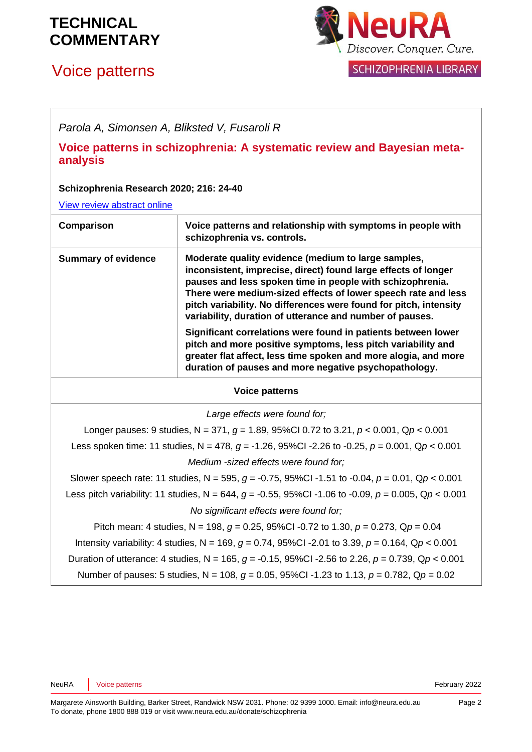# Voice patterns



*Parola A, Simonsen A, Bliksted V, Fusaroli R*

**Voice patterns in schizophrenia: A systematic review and Bayesian metaanalysis**

#### **Schizophrenia Research 2020; 216: 24-40**

[View review abstract online](https://www.sciencedirect.com/science/article/abs/pii/S0920996419305389)

| Voice patterns and relationship with symptoms in people with<br>Comparison<br>schizophrenia vs. controls.<br><b>Summary of evidence</b><br>Moderate quality evidence (medium to large samples,<br>inconsistent, imprecise, direct) found large effects of longer                                                                                                                                                                                            |                                                           |
|-------------------------------------------------------------------------------------------------------------------------------------------------------------------------------------------------------------------------------------------------------------------------------------------------------------------------------------------------------------------------------------------------------------------------------------------------------------|-----------------------------------------------------------|
|                                                                                                                                                                                                                                                                                                                                                                                                                                                             |                                                           |
| There were medium-sized effects of lower speech rate and less<br>pitch variability. No differences were found for pitch, intensity<br>variability, duration of utterance and number of pauses.<br>Significant correlations were found in patients between lower<br>pitch and more positive symptoms, less pitch variability and<br>greater flat affect, less time spoken and more alogia, and more<br>duration of pauses and more negative psychopathology. | pauses and less spoken time in people with schizophrenia. |

#### **Voice patterns**

*Large effects were found for;*

Longer pauses: 9 studies, N = 371, *g* = 1.89, 95%CI 0.72 to 3.21, *p* < 0.001, Q*p* < 0.001 Less spoken time: 11 studies, N = 478, *g* = -1.26, 95%CI -2.26 to -0.25, *p* = 0.001, Q*p* < 0.001 *Medium -sized effects were found for;*

Slower speech rate: 11 studies, N = 595, *g* = -0.75, 95%CI -1.51 to -0.04, *p* = 0.01, Q*p* < 0.001 Less pitch variability: 11 studies, N = 644, *g* = -0.55, 95%CI -1.06 to -0.09, *p* = 0.005, Q*p* < 0.001 *No significant effects were found for;*

Pitch mean: 4 studies, N = 198, *g* = 0.25, 95%CI -0.72 to 1.30, *p* = 0.273, Q*p* = 0.04 Intensity variability: 4 studies, N = 169, *g* = 0.74, 95%CI -2.01 to 3.39, *p* = 0.164, Q*p* < 0.001 Duration of utterance: 4 studies, N = 165, *g* = -0.15, 95%CI -2.56 to 2.26, *p* = 0.739, Q*p* < 0.001 Number of pauses: 5 studies, N = 108, *g* = 0.05, 95%CI -1.23 to 1.13, *p* = 0.782, Q*p* = 0.02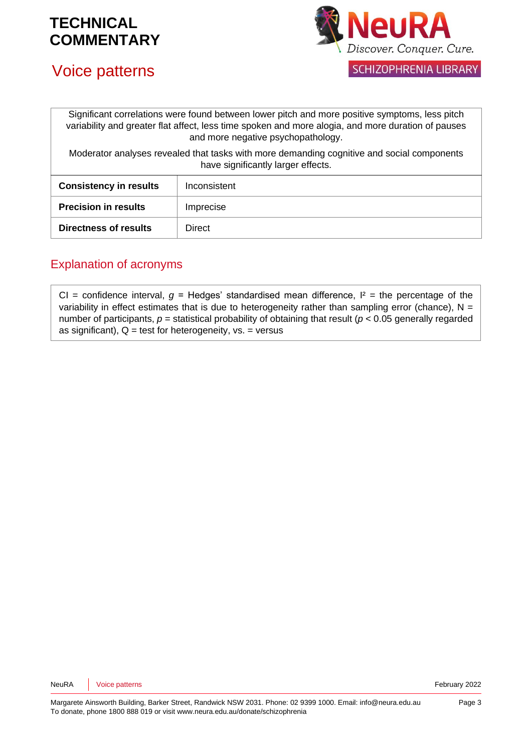



Significant correlations were found between lower pitch and more positive symptoms, less pitch variability and greater flat affect, less time spoken and more alogia, and more duration of pauses and more negative psychopathology.

Moderator analyses revealed that tasks with more demanding cognitive and social components have significantly larger effects.

| <b>Consistency in results</b> | Inconsistent |
|-------------------------------|--------------|
| <b>Precision in results</b>   | Imprecise    |
| <b>Directness of results</b>  | Direct       |

### Explanation of acronyms

CI = confidence interval,  $g$  = Hedges' standardised mean difference,  $I^2$  = the percentage of the variability in effect estimates that is due to heterogeneity rather than sampling error (chance),  $N =$ number of participants,  $p =$  statistical probability of obtaining that result ( $p < 0.05$  generally regarded as significant),  $Q =$  test for heterogeneity,  $vs. =$  versus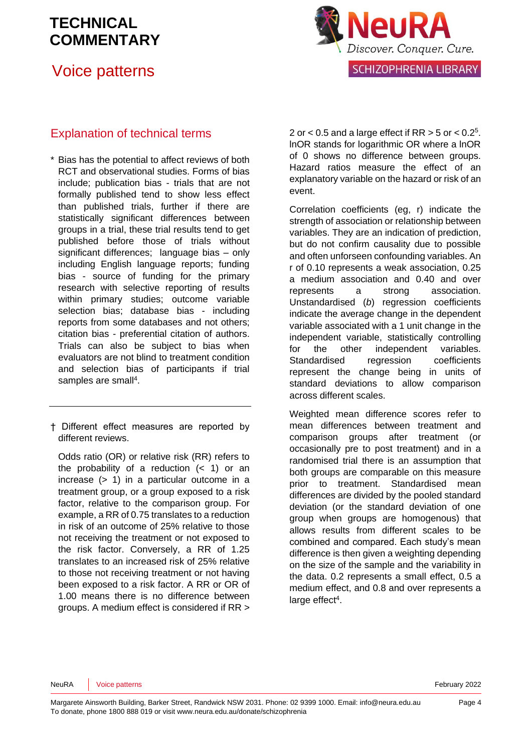### Voice patterns



### Explanation of technical terms

- \* Bias has the potential to affect reviews of both RCT and observational studies. Forms of bias include; publication bias - trials that are not formally published tend to show less effect than published trials, further if there are statistically significant differences between groups in a trial, these trial results tend to get published before those of trials without significant differences; language bias – only including English language reports; funding bias - source of funding for the primary research with selective reporting of results within primary studies; outcome variable selection bias; database bias - including reports from some databases and not others; citation bias - preferential citation of authors. Trials can also be subject to bias when evaluators are not blind to treatment condition and selection bias of participants if trial samples are small<sup>[4](#page-5-3)</sup>.
- † Different effect measures are reported by different reviews.

Odds ratio (OR) or relative risk (RR) refers to the probability of a reduction  $( $1$ )$  or an increase (> 1) in a particular outcome in a treatment group, or a group exposed to a risk factor, relative to the comparison group. For example, a RR of 0.75 translates to a reduction in risk of an outcome of 25% relative to those not receiving the treatment or not exposed to the risk factor. Conversely, a RR of 1.25 translates to an increased risk of 25% relative to those not receiving treatment or not having been exposed to a risk factor. A RR or OR of 1.00 means there is no difference between groups. A medium effect is considered if RR >

2 or  $<$  0[.](#page-5-4)5 and a large effect if RR  $>$  5 or  $<$  0.2<sup>5</sup>. lnOR stands for logarithmic OR where a lnOR of 0 shows no difference between groups. Hazard ratios measure the effect of an explanatory variable on the hazard or risk of an event.

Correlation coefficients (eg, r) indicate the strength of association or relationship between variables. They are an indication of prediction, but do not confirm causality due to possible and often unforseen confounding variables. An r of 0.10 represents a weak association, 0.25 a medium association and 0.40 and over represents a strong association. Unstandardised (*b*) regression coefficients indicate the average change in the dependent variable associated with a 1 unit change in the independent variable, statistically controlling for the other independent variables. Standardised regression coefficients represent the change being in units of standard deviations to allow comparison across different scales.

Weighted mean difference scores refer to mean differences between treatment and comparison groups after treatment (or occasionally pre to post treatment) and in a randomised trial there is an assumption that both groups are comparable on this measure prior to treatment. Standardised mean differences are divided by the pooled standard deviation (or the standard deviation of one group when groups are homogenous) that allows results from different scales to be combined and compared. Each study's mean difference is then given a weighting depending on the size of the sample and the variability in the data. 0.2 represents a small effect, 0.5 a medium effect, and 0.8 and over represents a large effect<sup>[4](#page-5-3)</sup>.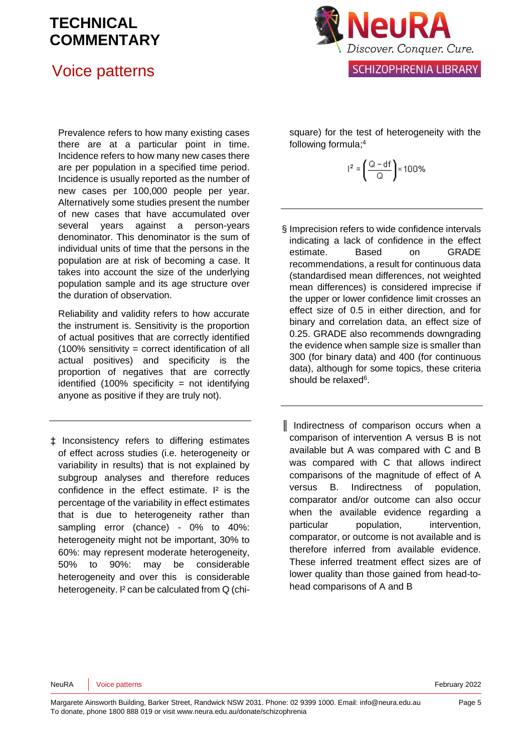# Voice patterns



Prevalence refers to how many existing cases there are at a particular point in time. Incidence refers to how many new cases there are per population in a specified time period. Incidence is usually reported as the number of new cases per 100,000 people per year. Alternatively some studies present the number of new cases that have accumulated over several years against a person-years denominator. This denominator is the sum of individual units of time that the persons in the population are at risk of becoming a case. It takes into account the size of the underlying population sample and its age structure over the duration of observation.

Reliability and validity refers to how accurate the instrument is. Sensitivity is the proportion of actual positives that are correctly identified (100% sensitivity = correct identification of all actual positives) and specificity is the proportion of negatives that are correctly identified  $(100\%$  specificity = not identifying anyone as positive if they are truly not).

‡ Inconsistency refers to differing estimates of effect across studies (i.e. heterogeneity or variability in results) that is not explained by subgroup analyses and therefore reduces confidence in the effect estimate. I<sup>2</sup> is the percentage of the variability in effect estimates that is due to heterogeneity rather than sampling error (chance) - 0% to 40%: heterogeneity might not be important, 30% to 60%: may represent moderate heterogeneity, 50% to 90%: may be considerable heterogeneity and over this is considerable heterogeneity. I<sup>2</sup> can be calculated from Q (chisquare) for the test of heterogeneity with the following formula[;](#page-5-3) 4

$$
I^2 = \left(\frac{Q - df}{Q}\right) \times 100\%
$$

- § Imprecision refers to wide confidence intervals indicating a lack of confidence in the effect estimate. Based on GRADE recommendations, a result for continuous data (standardised mean differences, not weighted mean differences) is considered imprecise if the upper or lower confidence limit crosses an effect size of 0.5 in either direction, and for binary and correlation data, an effect size of 0.25. GRADE also recommends downgrading the evidence when sample size is smaller than 300 (for binary data) and 400 (for continuous data), although for some topics, these criteria should be relaxed<sup>[6](#page-5-5)</sup>.
- ║ Indirectness of comparison occurs when a comparison of intervention A versus B is not available but A was compared with C and B was compared with C that allows indirect comparisons of the magnitude of effect of A versus B. Indirectness of population, comparator and/or outcome can also occur when the available evidence regarding a particular population, intervention, comparator, or outcome is not available and is therefore inferred from available evidence. These inferred treatment effect sizes are of lower quality than those gained from head-tohead comparisons of A and B